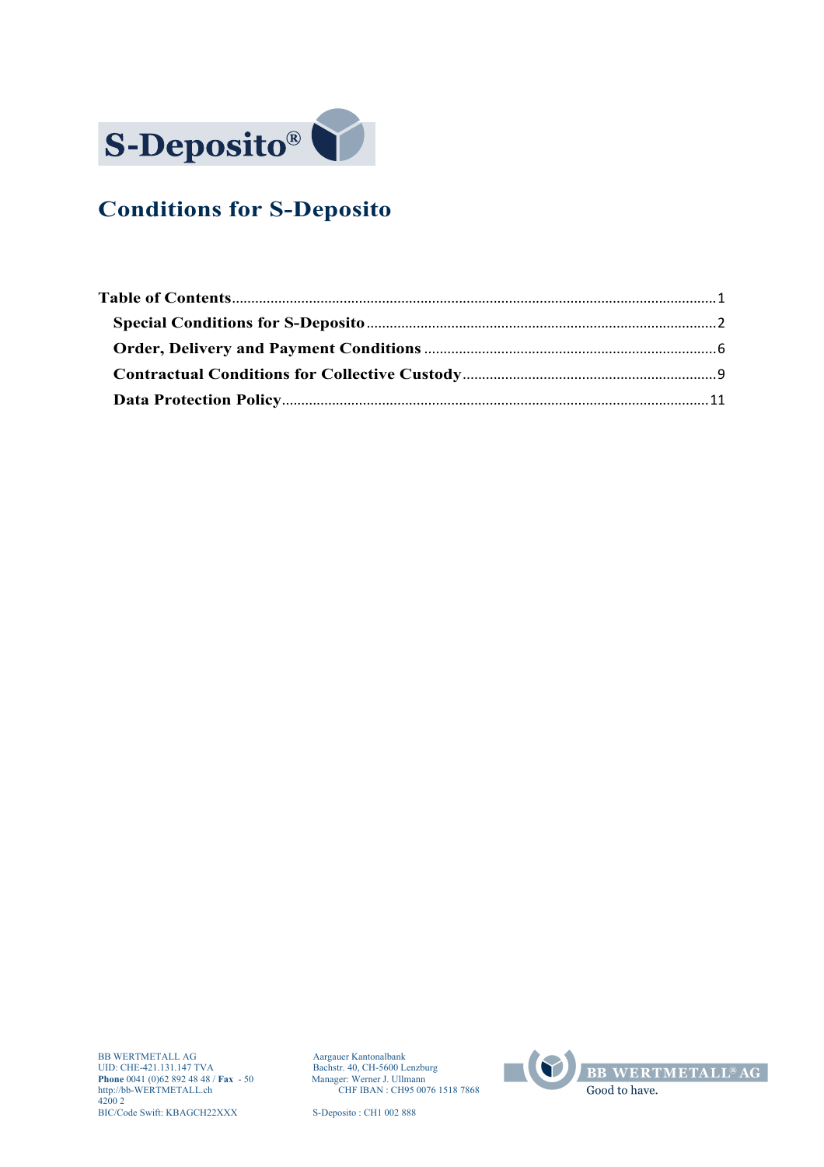

# **Conditions for S-Deposito**

Aargauer Kantonalbank<br>Bachstr. 40, CH-5600 Lenzburg<br>Manager: Werner J. Ullmann<br>CHF IBAN : CH95 0076 1518 7868

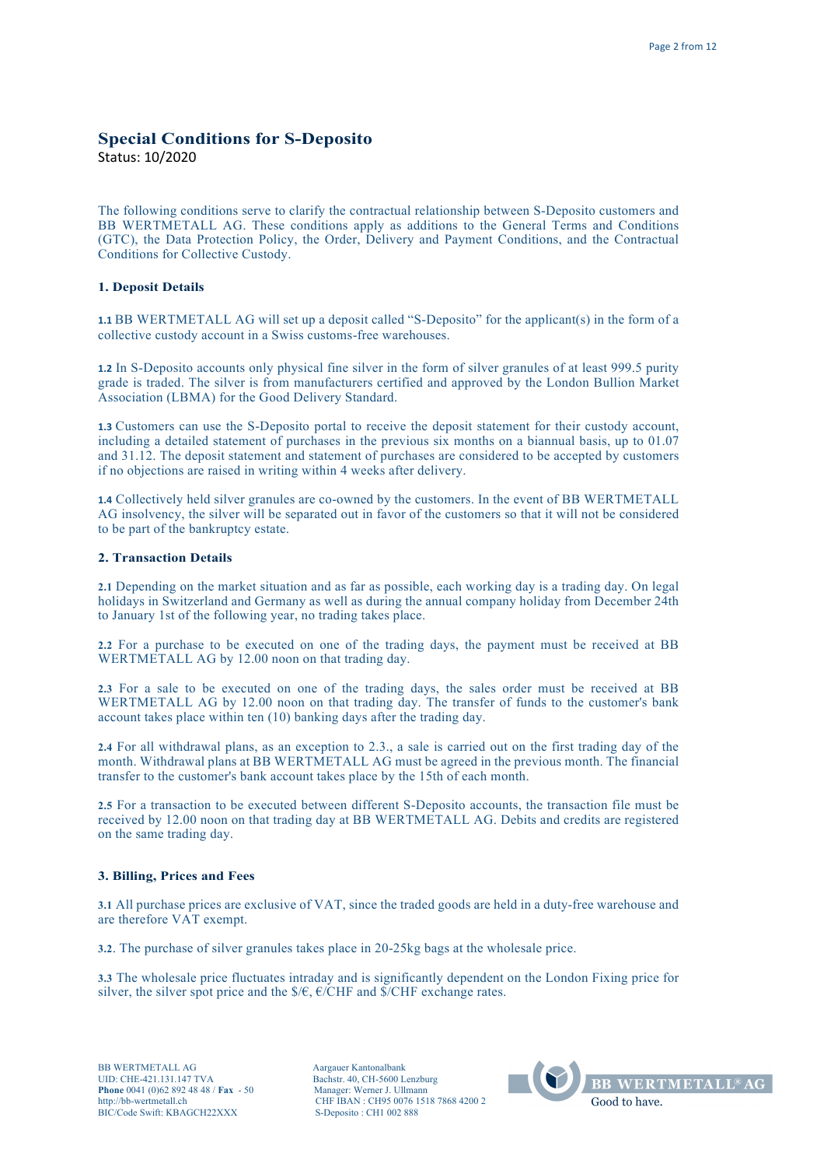# **Special Conditions for S-Deposito**

Status: 10/2020

The following conditions serve to clarify the contractual relationship between S-Deposito customers and BB WERTMETALL AG. These conditions apply as additions to the General Terms and Conditions (GTC), the Data Protection Policy, the Order, Delivery and Payment Conditions, and the Contractual Conditions for Collective Custody.

# **1. Deposit Details**

**1.1** BB WERTMETALL AG will set up a deposit called "S-Deposito" for the applicant(s) in the form of a collective custody account in a Swiss customs-free warehouses.

**1.2** In S-Deposito accounts only physical fine silver in the form of silver granules of at least 999.5 purity grade is traded. The silver is from manufacturers certified and approved by the London Bullion Market Association (LBMA) for the Good Delivery Standard.

**1.3** Customers can use the S-Deposito portal to receive the deposit statement for their custody account, including a detailed statement of purchases in the previous six months on a biannual basis, up to 01.07 and 31.12. The deposit statement and statement of purchases are considered to be accepted by customers if no objections are raised in writing within 4 weeks after delivery.

**1.4** Collectively held silver granules are co-owned by the customers. In the event of BB WERTMETALL AG insolvency, the silver will be separated out in favor of the customers so that it will not be considered to be part of the bankruptcy estate.

#### **2. Transaction Details**

**2.1** Depending on the market situation and as far as possible, each working day is a trading day. On legal holidays in Switzerland and Germany as well as during the annual company holiday from December 24th to January 1st of the following year, no trading takes place.

**2.2** For a purchase to be executed on one of the trading days, the payment must be received at BB WERTMETALL AG by 12.00 noon on that trading day.

**2.3** For a sale to be executed on one of the trading days, the sales order must be received at BB WERTMETALL AG by 12.00 noon on that trading day. The transfer of funds to the customer's bank account takes place within ten (10) banking days after the trading day.

**2.4** For all withdrawal plans, as an exception to 2.3., a sale is carried out on the first trading day of the month. Withdrawal plans at BB WERTMETALL AG must be agreed in the previous month. The financial transfer to the customer's bank account takes place by the 15th of each month.

**2.5** For a transaction to be executed between different S-Deposito accounts, the transaction file must be received by 12.00 noon on that trading day at BB WERTMETALL AG. Debits and credits are registered on the same trading day.

# **3. Billing, Prices and Fees**

**3.1** All purchase prices are exclusive of VAT, since the traded goods are held in a duty-free warehouse and are therefore VAT exempt.

**3.2**. The purchase of silver granules takes place in 20-25kg bags at the wholesale price.

**3.3** The wholesale price fluctuates intraday and is significantly dependent on the London Fixing price for silver, the silver spot price and the  $\frac{E}{E}$ ,  $\frac{E}{C}$ ,  $\frac{E}{C}$  and  $\frac{E}{E}$  exchange rates.

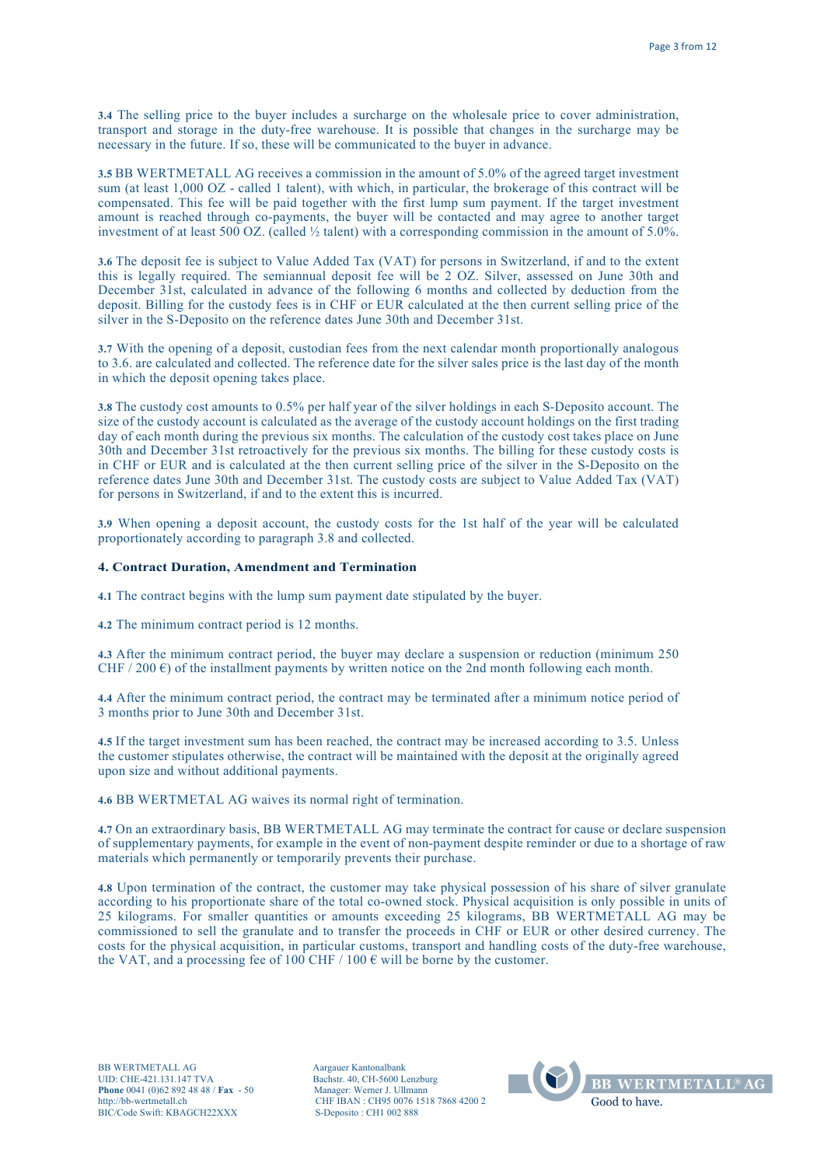**3.4** The selling price to the buyer includes a surcharge on the wholesale price to cover administration, transport and storage in the duty-free warehouse. It is possible that changes in the surcharge may be necessary in the future. If so, these will be communicated to the buyer in advance.

**3.5** BB WERTMETALL AG receives a commission in the amount of 5.0% of the agreed target investment sum (at least 1,000 OZ - called 1 talent), with which, in particular, the brokerage of this contract will be compensated. This fee will be paid together with the first lump sum payment. If the target investment amount is reached through co-payments, the buyer will be contacted and may agree to another target investment of at least 500 OZ. (called ½ talent) with a corresponding commission in the amount of 5.0%.

**3.6** The deposit fee is subject to Value Added Tax (VAT) for persons in Switzerland, if and to the extent this is legally required. The semiannual deposit fee will be 2 OZ. Silver, assessed on June 30th and December 31st, calculated in advance of the following 6 months and collected by deduction from the deposit. Billing for the custody fees is in CHF or EUR calculated at the then current selling price of the silver in the S-Deposito on the reference dates June 30th and December 31st.

**3.7** With the opening of a deposit, custodian fees from the next calendar month proportionally analogous to 3.6. are calculated and collected. The reference date for the silver sales price is the last day of the month in which the deposit opening takes place.

**3.8** The custody cost amounts to 0.5% per half year of the silver holdings in each S-Deposito account. The size of the custody account is calculated as the average of the custody account holdings on the first trading day of each month during the previous six months. The calculation of the custody cost takes place on June 30th and December 31st retroactively for the previous six months. The billing for these custody costs is in CHF or EUR and is calculated at the then current selling price of the silver in the S-Deposito on the reference dates June 30th and December 31st. The custody costs are subject to Value Added Tax (VAT) for persons in Switzerland, if and to the extent this is incurred.

**3.9** When opening a deposit account, the custody costs for the 1st half of the year will be calculated proportionately according to paragraph 3.8 and collected.

#### **4. Contract Duration, Amendment and Termination**

**4.1** The contract begins with the lump sum payment date stipulated by the buyer.

**4.2** The minimum contract period is 12 months.

**4.3** After the minimum contract period, the buyer may declare a suspension or reduction (minimum 250 CHF / 200  $\epsilon$ ) of the installment payments by written notice on the 2nd month following each month.

**4.4** After the minimum contract period, the contract may be terminated after a minimum notice period of 3 months prior to June 30th and December 31st.

**4.5** If the target investment sum has been reached, the contract may be increased according to 3.5. Unless the customer stipulates otherwise, the contract will be maintained with the deposit at the originally agreed upon size and without additional payments.

**4.6** BB WERTMETAL AG waives its normal right of termination.

**4.7** On an extraordinary basis, BB WERTMETALL AG may terminate the contract for cause or declare suspension of supplementary payments, for example in the event of non-payment despite reminder or due to a shortage of raw materials which permanently or temporarily prevents their purchase.

**4.8** Upon termination of the contract, the customer may take physical possession of his share of silver granulate according to his proportionate share of the total co-owned stock. Physical acquisition is only possible in units of 25 kilograms. For smaller quantities or amounts exceeding 25 kilograms, BB WERTMETALL AG may be commissioned to sell the granulate and to transfer the proceeds in CHF or EUR or other desired currency. The costs for the physical acquisition, in particular customs, transport and handling costs of the duty-free warehouse, the VAT, and a processing fee of 100 CHF / 100  $\epsilon$  will be borne by the customer.

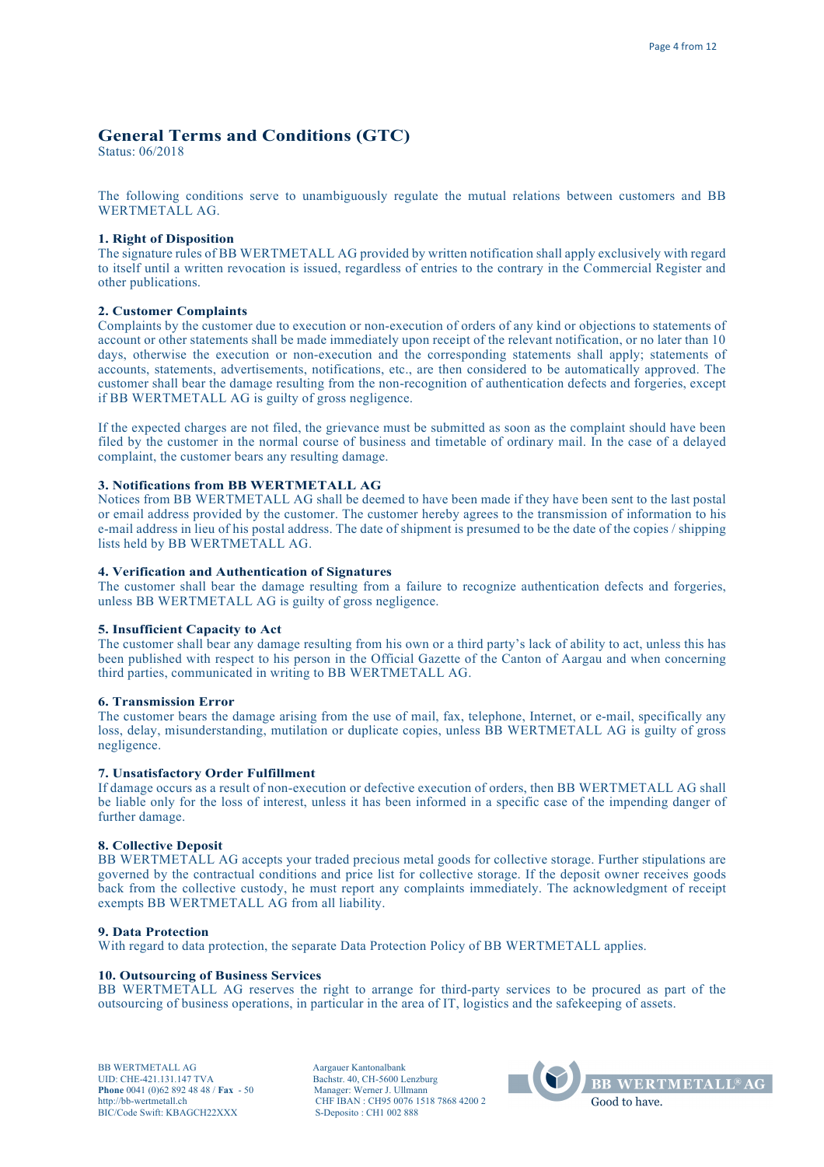# **General Terms and Conditions (GTC)**

Status: 06/2018

The following conditions serve to unambiguously regulate the mutual relations between customers and BB WERTMETALL AG.

# **1. Right of Disposition**

The signature rules of BB WERTMETALL AG provided by written notification shall apply exclusively with regard to itself until a written revocation is issued, regardless of entries to the contrary in the Commercial Register and other publications.

# **2. Customer Complaints**

Complaints by the customer due to execution or non-execution of orders of any kind or objections to statements of account or other statements shall be made immediately upon receipt of the relevant notification, or no later than 10 days, otherwise the execution or non-execution and the corresponding statements shall apply; statements of accounts, statements, advertisements, notifications, etc., are then considered to be automatically approved. The customer shall bear the damage resulting from the non-recognition of authentication defects and forgeries, except if BB WERTMETALL AG is guilty of gross negligence.

If the expected charges are not filed, the grievance must be submitted as soon as the complaint should have been filed by the customer in the normal course of business and timetable of ordinary mail. In the case of a delayed complaint, the customer bears any resulting damage.

### **3. Notifications from BB WERTMETALL AG**

Notices from BB WERTMETALL AG shall be deemed to have been made if they have been sent to the last postal or email address provided by the customer. The customer hereby agrees to the transmission of information to his e-mail address in lieu of his postal address. The date of shipment is presumed to be the date of the copies / shipping lists held by BB WERTMETALL AG.

# **4. Verification and Authentication of Signatures**

The customer shall bear the damage resulting from a failure to recognize authentication defects and forgeries, unless BB WERTMETALL AG is guilty of gross negligence.

# **5. Insufficient Capacity to Act**

The customer shall bear any damage resulting from his own or a third party's lack of ability to act, unless this has been published with respect to his person in the Official Gazette of the Canton of Aargau and when concerning third parties, communicated in writing to BB WERTMETALL AG.

#### **6. Transmission Error**

The customer bears the damage arising from the use of mail, fax, telephone, Internet, or e-mail, specifically any loss, delay, misunderstanding, mutilation or duplicate copies, unless BB WERTMETALL AG is guilty of gross negligence.

#### **7. Unsatisfactory Order Fulfillment**

If damage occurs as a result of non-execution or defective execution of orders, then BB WERTMETALL AG shall be liable only for the loss of interest, unless it has been informed in a specific case of the impending danger of further damage.

# **8. Collective Deposit**

BB WERTMETALL AG accepts your traded precious metal goods for collective storage. Further stipulations are governed by the contractual conditions and price list for collective storage. If the deposit owner receives goods back from the collective custody, he must report any complaints immediately. The acknowledgment of receipt exempts BB WERTMETALL AG from all liability.

#### **9. Data Protection**

With regard to data protection, the separate Data Protection Policy of BB WERTMETALL applies.

#### **10. Outsourcing of Business Services**

BB WERTMETALL AG reserves the right to arrange for third-party services to be procured as part of the outsourcing of business operations, in particular in the area of IT, logistics and the safekeeping of assets.

BB WERTMETALL AG Aargauer Kantonalbank UID: CHE-421.131.147 TVA Bachstr. 40, CH-5600 Lenzburg<br> **Phone** 0041 (0)62 892 48 48 / **Fax** - 50 Manager: Werner J. Ullmann **Phone** 0041 (0)62 892 48 48 / **Fax** - 50 http://bb-wertmetall.ch BIC/Code Swift: KBAGCH22XXX

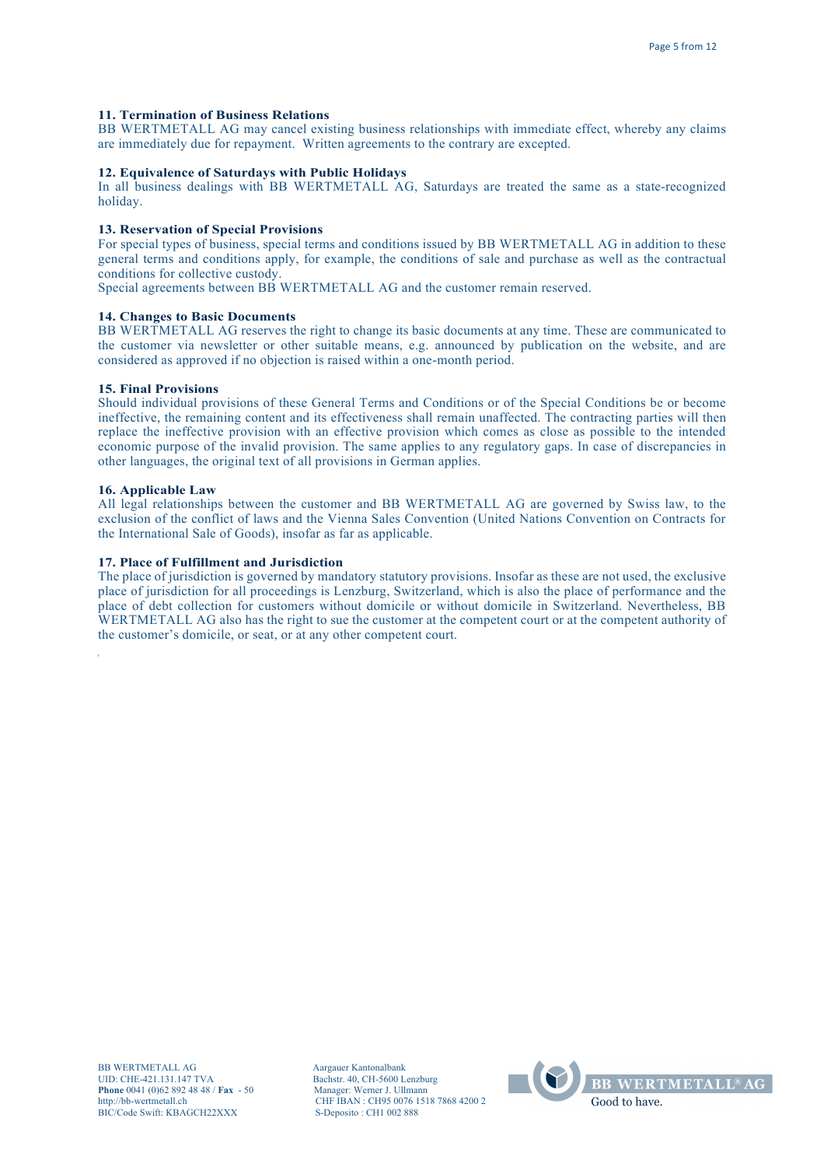# **11. Termination of Business Relations**

BB WERTMETALL AG may cancel existing business relationships with immediate effect, whereby any claims are immediately due for repayment. Written agreements to the contrary are excepted.

# **12. Equivalence of Saturdays with Public Holidays**

In all business dealings with BB WERTMETALL AG, Saturdays are treated the same as a state-recognized holiday.

#### **13. Reservation of Special Provisions**

For special types of business, special terms and conditions issued by BB WERTMETALL AG in addition to these general terms and conditions apply, for example, the conditions of sale and purchase as well as the contractual conditions for collective custody.

Special agreements between BB WERTMETALL AG and the customer remain reserved.

# **14. Changes to Basic Documents**

BB WERTMETALL AG reserves the right to change its basic documents at any time. These are communicated to the customer via newsletter or other suitable means, e.g. announced by publication on the website, and are considered as approved if no objection is raised within a one-month period.

## **15. Final Provisions**

Should individual provisions of these General Terms and Conditions or of the Special Conditions be or become ineffective, the remaining content and its effectiveness shall remain unaffected. The contracting parties will then replace the ineffective provision with an effective provision which comes as close as possible to the intended economic purpose of the invalid provision. The same applies to any regulatory gaps. In case of discrepancies in other languages, the original text of all provisions in German applies.

#### **16. Applicable Law**

All legal relationships between the customer and BB WERTMETALL AG are governed by Swiss law, to the exclusion of the conflict of laws and the Vienna Sales Convention (United Nations Convention on Contracts for the International Sale of Goods), insofar as far as applicable.

#### **17. Place of Fulfillment and Jurisdiction**

The place of jurisdiction is governed by mandatory statutory provisions. Insofar as these are not used, the exclusive place of jurisdiction for all proceedings is Lenzburg, Switzerland, which is also the place of performance and the place of debt collection for customers without domicile or without domicile in Switzerland. Nevertheless, BB WERTMETALL AG also has the right to sue the customer at the competent court or at the competent authority of the customer's domicile, or seat, or at any other competent court.

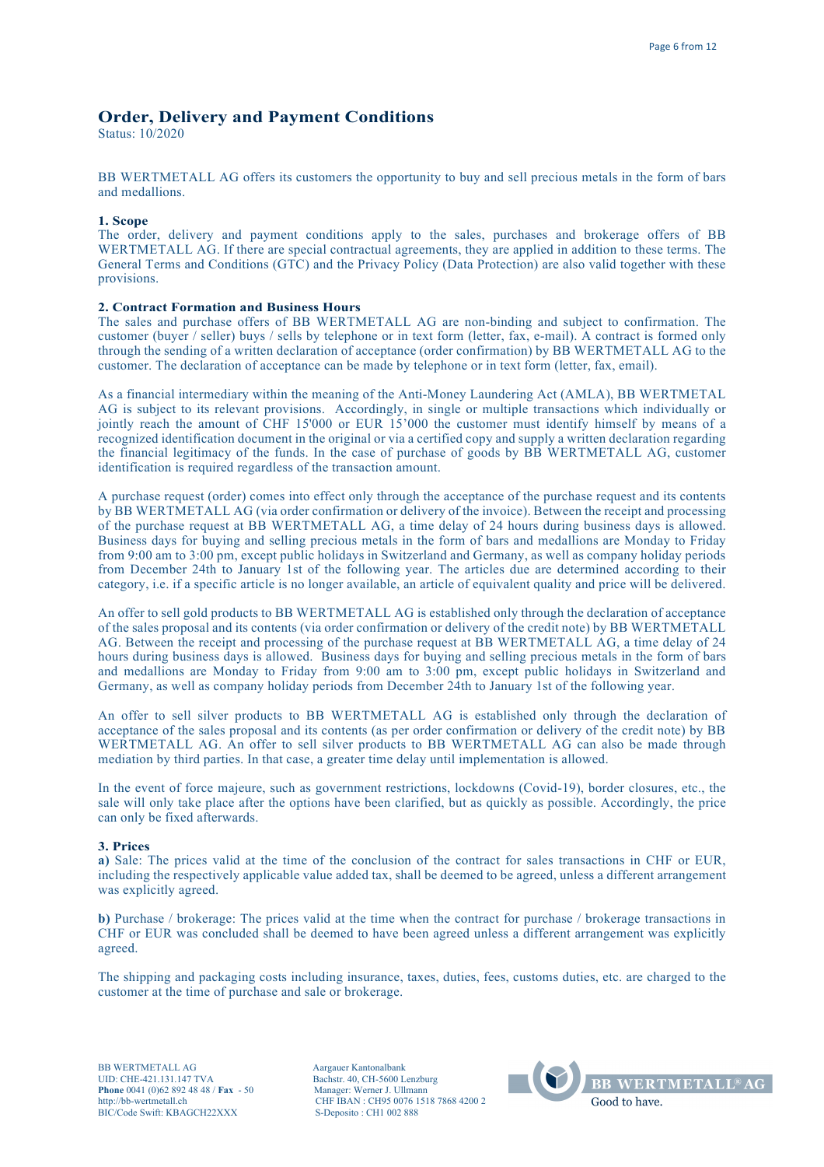# **Order, Delivery and Payment Conditions**

Status: 10/2020

BB WERTMETALL AG offers its customers the opportunity to buy and sell precious metals in the form of bars and medallions.

# **1. Scope**

The order, delivery and payment conditions apply to the sales, purchases and brokerage offers of BB WERTMETALL AG. If there are special contractual agreements, they are applied in addition to these terms. The General Terms and Conditions (GTC) and the Privacy Policy (Data Protection) are also valid together with these provisions.

# **2. Contract Formation and Business Hours**

The sales and purchase offers of BB WERTMETALL AG are non-binding and subject to confirmation. The customer (buyer / seller) buys / sells by telephone or in text form (letter, fax, e-mail). A contract is formed only through the sending of a written declaration of acceptance (order confirmation) by BB WERTMETALL AG to the customer. The declaration of acceptance can be made by telephone or in text form (letter, fax, email).

As a financial intermediary within the meaning of the Anti-Money Laundering Act (AMLA), BB WERTMETAL AG is subject to its relevant provisions. Accordingly, in single or multiple transactions which individually or jointly reach the amount of CHF 15'000 or EUR 15'000 the customer must identify himself by means of a recognized identification document in the original or via a certified copy and supply a written declaration regarding the financial legitimacy of the funds. In the case of purchase of goods by BB WERTMETALL AG, customer identification is required regardless of the transaction amount.

A purchase request (order) comes into effect only through the acceptance of the purchase request and its contents by BB WERTMETALL AG (via order confirmation or delivery of the invoice). Between the receipt and processing of the purchase request at BB WERTMETALL AG, a time delay of 24 hours during business days is allowed. Business days for buying and selling precious metals in the form of bars and medallions are Monday to Friday from 9:00 am to 3:00 pm, except public holidays in Switzerland and Germany, as well as company holiday periods from December 24th to January 1st of the following year. The articles due are determined according to their category, i.e. if a specific article is no longer available, an article of equivalent quality and price will be delivered.

An offer to sell gold products to BB WERTMETALL AG is established only through the declaration of acceptance of the sales proposal and its contents (via order confirmation or delivery of the credit note) by BB WERTMETALL AG. Between the receipt and processing of the purchase request at BB WERTMETALL AG, a time delay of 24 hours during business days is allowed. Business days for buying and selling precious metals in the form of bars and medallions are Monday to Friday from 9:00 am to 3:00 pm, except public holidays in Switzerland and Germany, as well as company holiday periods from December 24th to January 1st of the following year.

An offer to sell silver products to BB WERTMETALL AG is established only through the declaration of acceptance of the sales proposal and its contents (as per order confirmation or delivery of the credit note) by BB WERTMETALL AG. An offer to sell silver products to BB WERTMETALL AG can also be made through mediation by third parties. In that case, a greater time delay until implementation is allowed.

In the event of force majeure, such as government restrictions, lockdowns (Covid-19), border closures, etc., the sale will only take place after the options have been clarified, but as quickly as possible. Accordingly, the price can only be fixed afterwards.

#### **3. Prices**

**a)** Sale: The prices valid at the time of the conclusion of the contract for sales transactions in CHF or EUR, including the respectively applicable value added tax, shall be deemed to be agreed, unless a different arrangement was explicitly agreed.

**b)** Purchase / brokerage: The prices valid at the time when the contract for purchase / brokerage transactions in CHF or EUR was concluded shall be deemed to have been agreed unless a different arrangement was explicitly agreed.

The shipping and packaging costs including insurance, taxes, duties, fees, customs duties, etc. are charged to the customer at the time of purchase and sale or brokerage.

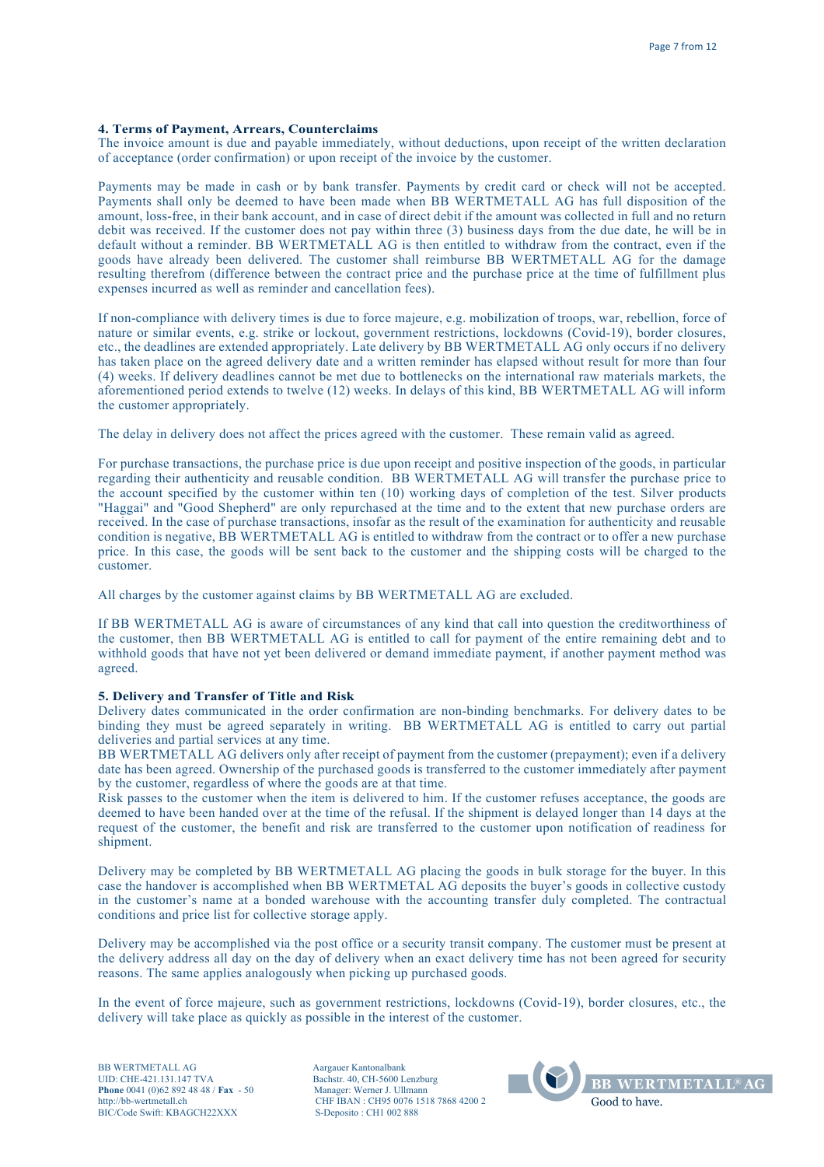## **4. Terms of Payment, Arrears, Counterclaims**

The invoice amount is due and payable immediately, without deductions, upon receipt of the written declaration of acceptance (order confirmation) or upon receipt of the invoice by the customer.

Payments may be made in cash or by bank transfer. Payments by credit card or check will not be accepted. Payments shall only be deemed to have been made when BB WERTMETALL AG has full disposition of the amount, loss-free, in their bank account, and in case of direct debit if the amount was collected in full and no return debit was received. If the customer does not pay within three (3) business days from the due date, he will be in default without a reminder. BB WERTMETALL AG is then entitled to withdraw from the contract, even if the goods have already been delivered. The customer shall reimburse BB WERTMETALL AG for the damage resulting therefrom (difference between the contract price and the purchase price at the time of fulfillment plus expenses incurred as well as reminder and cancellation fees).

If non-compliance with delivery times is due to force majeure, e.g. mobilization of troops, war, rebellion, force of nature or similar events, e.g. strike or lockout, government restrictions, lockdowns (Covid-19), border closures, etc., the deadlines are extended appropriately. Late delivery by BB WERTMETALL AG only occurs if no delivery has taken place on the agreed delivery date and a written reminder has elapsed without result for more than four (4) weeks. If delivery deadlines cannot be met due to bottlenecks on the international raw materials markets, the aforementioned period extends to twelve (12) weeks. In delays of this kind, BB WERTMETALL AG will inform the customer appropriately.

The delay in delivery does not affect the prices agreed with the customer. These remain valid as agreed.

For purchase transactions, the purchase price is due upon receipt and positive inspection of the goods, in particular regarding their authenticity and reusable condition. BB WERTMETALL AG will transfer the purchase price to the account specified by the customer within ten (10) working days of completion of the test. Silver products "Haggai" and "Good Shepherd" are only repurchased at the time and to the extent that new purchase orders are received. In the case of purchase transactions, insofar as the result of the examination for authenticity and reusable condition is negative, BB WERTMETALL AG is entitled to withdraw from the contract or to offer a new purchase price. In this case, the goods will be sent back to the customer and the shipping costs will be charged to the customer.

All charges by the customer against claims by BB WERTMETALL AG are excluded.

If BB WERTMETALL AG is aware of circumstances of any kind that call into question the creditworthiness of the customer, then BB WERTMETALL AG is entitled to call for payment of the entire remaining debt and to withhold goods that have not yet been delivered or demand immediate payment, if another payment method was agreed.

#### **5. Delivery and Transfer of Title and Risk**

Delivery dates communicated in the order confirmation are non-binding benchmarks. For delivery dates to be binding they must be agreed separately in writing. BB WERTMETALL AG is entitled to carry out partial deliveries and partial services at any time.

BB WERTMETALL AG delivers only after receipt of payment from the customer (prepayment); even if a delivery date has been agreed. Ownership of the purchased goods is transferred to the customer immediately after payment by the customer, regardless of where the goods are at that time.

Risk passes to the customer when the item is delivered to him. If the customer refuses acceptance, the goods are deemed to have been handed over at the time of the refusal. If the shipment is delayed longer than 14 days at the request of the customer, the benefit and risk are transferred to the customer upon notification of readiness for shipment.

Delivery may be completed by BB WERTMETALL AG placing the goods in bulk storage for the buyer. In this case the handover is accomplished when BB WERTMETAL AG deposits the buyer's goods in collective custody in the customer's name at a bonded warehouse with the accounting transfer duly completed. The contractual conditions and price list for collective storage apply.

Delivery may be accomplished via the post office or a security transit company. The customer must be present at the delivery address all day on the day of delivery when an exact delivery time has not been agreed for security reasons. The same applies analogously when picking up purchased goods.

In the event of force majeure, such as government restrictions, lockdowns (Covid-19), border closures, etc., the delivery will take place as quickly as possible in the interest of the customer.

BB WERTMETALL AG Aargauer Kantonalbank UID: CHE-421.131.147 TVA<br> **Bachstr. 40, CH-5600 Lenzburg**<br> **Phone** 0041 (0)62 892 48 48 / **Fax** - 50 Manager: Werner J. Ullmann **Phone** 0041 (0)62 892 48 48 / **Fax** - 50 http://bb-wertmetall.ch BIC/Code Swift: KBAGCH22XXX

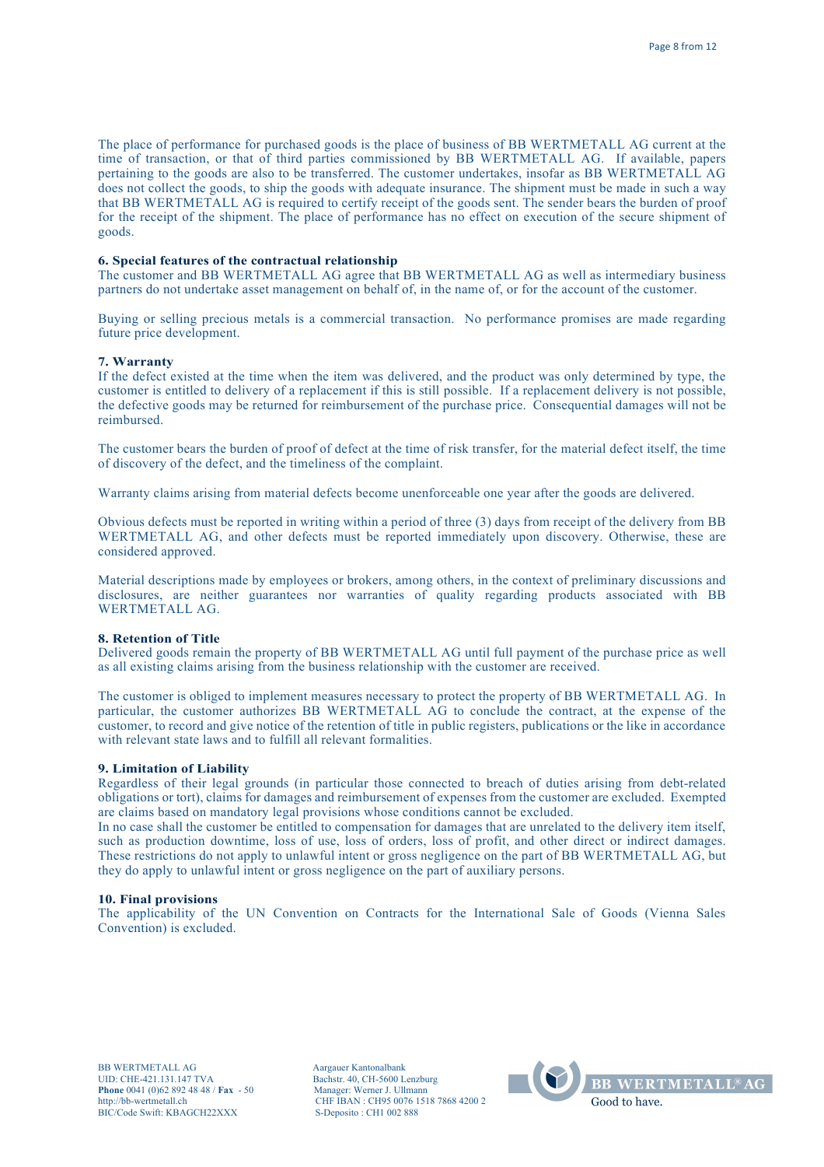The place of performance for purchased goods is the place of business of BB WERTMETALL AG current at the time of transaction, or that of third parties commissioned by BB WERTMETALL AG. If available, papers pertaining to the goods are also to be transferred. The customer undertakes, insofar as BB WERTMETALL AG does not collect the goods, to ship the goods with adequate insurance. The shipment must be made in such a way that BB WERTMETALL AG is required to certify receipt of the goods sent. The sender bears the burden of proof for the receipt of the shipment. The place of performance has no effect on execution of the secure shipment of goods.

### **6. Special features of the contractual relationship**

The customer and BB WERTMETALL AG agree that BB WERTMETALL AG as well as intermediary business partners do not undertake asset management on behalf of, in the name of, or for the account of the customer.

Buying or selling precious metals is a commercial transaction. No performance promises are made regarding future price development.

#### **7. Warranty**

If the defect existed at the time when the item was delivered, and the product was only determined by type, the customer is entitled to delivery of a replacement if this is still possible. If a replacement delivery is not possible, the defective goods may be returned for reimbursement of the purchase price. Consequential damages will not be reimbursed.

The customer bears the burden of proof of defect at the time of risk transfer, for the material defect itself, the time of discovery of the defect, and the timeliness of the complaint.

Warranty claims arising from material defects become unenforceable one year after the goods are delivered.

Obvious defects must be reported in writing within a period of three (3) days from receipt of the delivery from BB WERTMETALL AG, and other defects must be reported immediately upon discovery. Otherwise, these are considered approved.

Material descriptions made by employees or brokers, among others, in the context of preliminary discussions and disclosures, are neither guarantees nor warranties of quality regarding products associated with BB WERTMETALL AG.

### **8. Retention of Title**

Delivered goods remain the property of BB WERTMETALL AG until full payment of the purchase price as well as all existing claims arising from the business relationship with the customer are received.

The customer is obliged to implement measures necessary to protect the property of BB WERTMETALL AG. In particular, the customer authorizes BB WERTMETALL AG to conclude the contract, at the expense of the customer, to record and give notice of the retention of title in public registers, publications or the like in accordance with relevant state laws and to fulfill all relevant formalities.

#### **9. Limitation of Liability**

Regardless of their legal grounds (in particular those connected to breach of duties arising from debt-related obligations or tort), claims for damages and reimbursement of expenses from the customer are excluded. Exempted are claims based on mandatory legal provisions whose conditions cannot be excluded.

In no case shall the customer be entitled to compensation for damages that are unrelated to the delivery item itself, such as production downtime, loss of use, loss of orders, loss of profit, and other direct or indirect damages. These restrictions do not apply to unlawful intent or gross negligence on the part of BB WERTMETALL AG, but they do apply to unlawful intent or gross negligence on the part of auxiliary persons.

#### **10. Final provisions**

The applicability of the UN Convention on Contracts for the International Sale of Goods (Vienna Sales Convention) is excluded.

BB WERTMETALL AG Aargauer Kantonalbank UID: CHE-421.131.147 TVA Bachstr. 40, CH-5600 Lenzburg<br> **Phone** 0041 (0)62 892 48 48 / **Fax** - 50 Manager: Werner J. Ullmann **Phone** 0041 (0)62 892 48 48 / **Fax** - 50 http://bb-wertmetall.ch BIC/Code Swift: KBAGCH22XXX

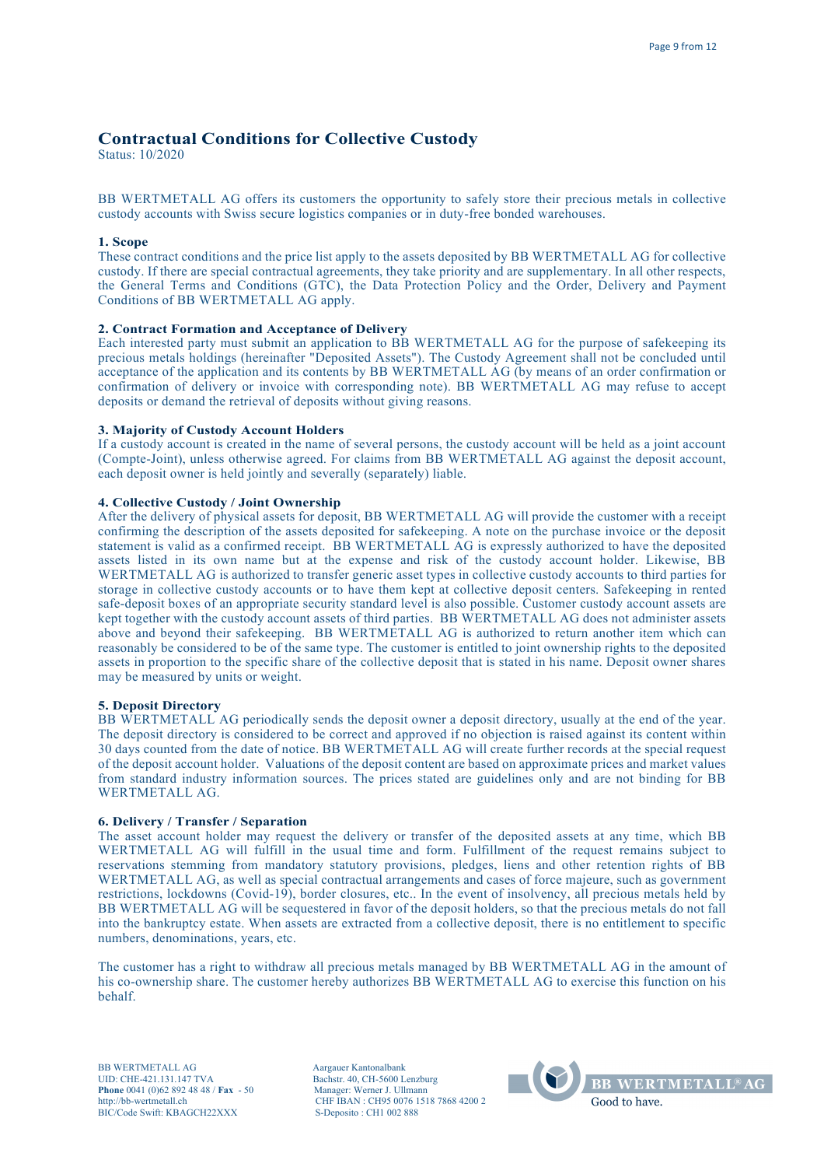# **Contractual Conditions for Collective Custody**

Status: 10/2020

BB WERTMETALL AG offers its customers the opportunity to safely store their precious metals in collective custody accounts with Swiss secure logistics companies or in duty-free bonded warehouses.

# **1. Scope**

These contract conditions and the price list apply to the assets deposited by BB WERTMETALL AG for collective custody. If there are special contractual agreements, they take priority and are supplementary. In all other respects, the General Terms and Conditions (GTC), the Data Protection Policy and the Order, Delivery and Payment Conditions of BB WERTMETALL AG apply.

# **2. Contract Formation and Acceptance of Delivery**

Each interested party must submit an application to BB WERTMETALL AG for the purpose of safekeeping its precious metals holdings (hereinafter "Deposited Assets"). The Custody Agreement shall not be concluded until acceptance of the application and its contents by BB WERTMETALL AG (by means of an order confirmation or confirmation of delivery or invoice with corresponding note). BB WERTMETALL AG may refuse to accept deposits or demand the retrieval of deposits without giving reasons.

### **3. Majority of Custody Account Holders**

If a custody account is created in the name of several persons, the custody account will be held as a joint account (Compte-Joint), unless otherwise agreed. For claims from BB WERTMETALL AG against the deposit account, each deposit owner is held jointly and severally (separately) liable.

### **4. Collective Custody / Joint Ownership**

After the delivery of physical assets for deposit, BB WERTMETALL AG will provide the customer with a receipt confirming the description of the assets deposited for safekeeping. A note on the purchase invoice or the deposit statement is valid as a confirmed receipt. BB WERTMETALL AG is expressly authorized to have the deposited assets listed in its own name but at the expense and risk of the custody account holder. Likewise, BB WERTMETALL AG is authorized to transfer generic asset types in collective custody accounts to third parties for storage in collective custody accounts or to have them kept at collective deposit centers. Safekeeping in rented safe-deposit boxes of an appropriate security standard level is also possible. Customer custody account assets are kept together with the custody account assets of third parties. BB WERTMETALL AG does not administer assets above and beyond their safekeeping. BB WERTMETALL AG is authorized to return another item which can reasonably be considered to be of the same type. The customer is entitled to joint ownership rights to the deposited assets in proportion to the specific share of the collective deposit that is stated in his name. Deposit owner shares may be measured by units or weight.

#### **5. Deposit Directory**

BB WERTMETALL AG periodically sends the deposit owner a deposit directory, usually at the end of the year. The deposit directory is considered to be correct and approved if no objection is raised against its content within 30 days counted from the date of notice. BB WERTMETALL AG will create further records at the special request of the deposit account holder. Valuations of the deposit content are based on approximate prices and market values from standard industry information sources. The prices stated are guidelines only and are not binding for BB WERTMETALL AG.

# **6. Delivery / Transfer / Separation**

The asset account holder may request the delivery or transfer of the deposited assets at any time, which BB WERTMETALL AG will fulfill in the usual time and form. Fulfillment of the request remains subject to reservations stemming from mandatory statutory provisions, pledges, liens and other retention rights of BB WERTMETALL AG, as well as special contractual arrangements and cases of force majeure, such as government restrictions, lockdowns (Covid-19), border closures, etc.. In the event of insolvency, all precious metals held by BB WERTMETALL AG will be sequestered in favor of the deposit holders, so that the precious metals do not fall into the bankruptcy estate. When assets are extracted from a collective deposit, there is no entitlement to specific numbers, denominations, years, etc.

The customer has a right to withdraw all precious metals managed by BB WERTMETALL AG in the amount of his co-ownership share. The customer hereby authorizes BB WERTMETALL AG to exercise this function on his behalf.

BB WERTMETALL AG Aargauer Kantonalbank UID: CHE-421.131.147 TVA Bachstr. 40, CH-5600 Lenzburg<br> **Phone** 0041 (0)62 892 48 48 / **Fax** - 50 Manager: Werner J. Ullmann **Phone** 0041 (0)62 892 48 48 / **Fax** - 50 http://bb-wertmetall.ch BIC/Code Swift: KBAGCH22XXX

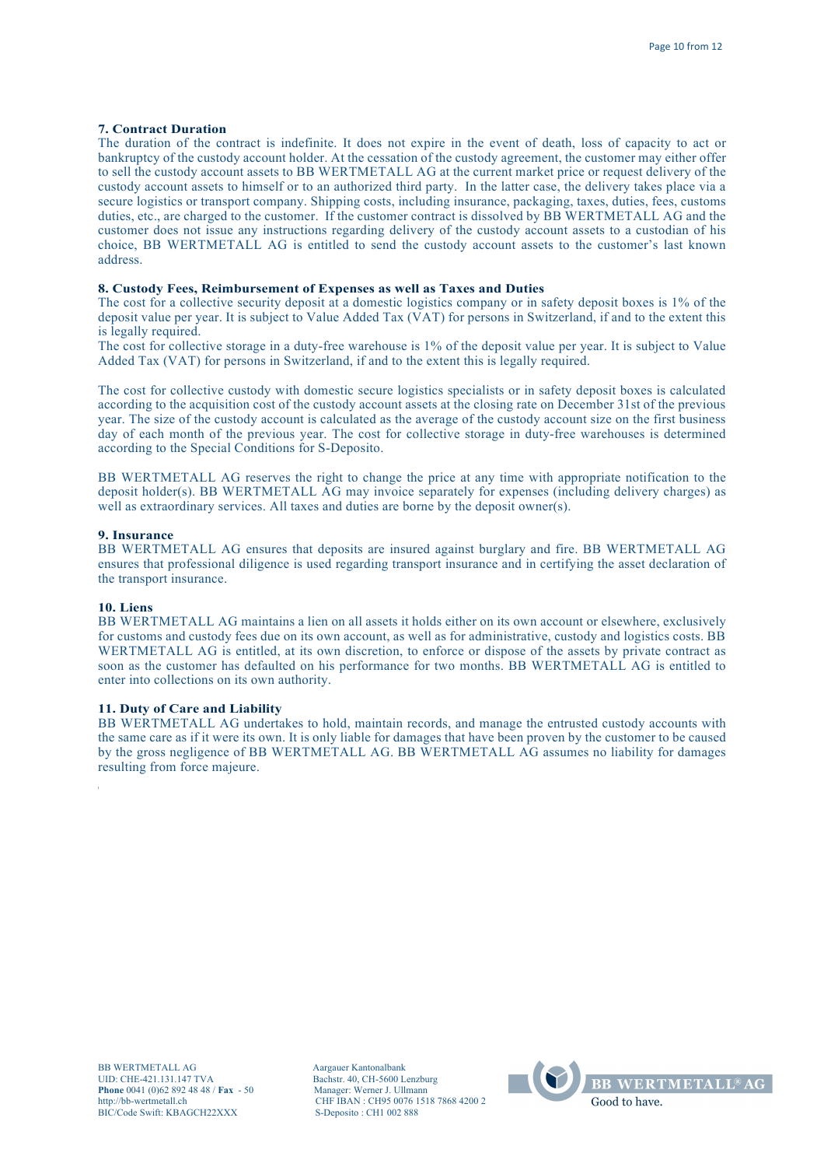# **7. Contract Duration**

The duration of the contract is indefinite. It does not expire in the event of death, loss of capacity to act or bankruptcy of the custody account holder. At the cessation of the custody agreement, the customer may either offer to sell the custody account assets to BB WERTMETALL AG at the current market price or request delivery of the custody account assets to himself or to an authorized third party. In the latter case, the delivery takes place via a secure logistics or transport company. Shipping costs, including insurance, packaging, taxes, duties, fees, customs duties, etc., are charged to the customer. If the customer contract is dissolved by BB WERTMETALL AG and the customer does not issue any instructions regarding delivery of the custody account assets to a custodian of his choice, BB WERTMETALL AG is entitled to send the custody account assets to the customer's last known address.

# **8. Custody Fees, Reimbursement of Expenses as well as Taxes and Duties**

The cost for a collective security deposit at a domestic logistics company or in safety deposit boxes is 1% of the deposit value per year. It is subject to Value Added Tax (VAT) for persons in Switzerland, if and to the extent this is legally required.

The cost for collective storage in a duty-free warehouse is 1% of the deposit value per year. It is subject to Value Added Tax (VAT) for persons in Switzerland, if and to the extent this is legally required.

The cost for collective custody with domestic secure logistics specialists or in safety deposit boxes is calculated according to the acquisition cost of the custody account assets at the closing rate on December 31st of the previous year. The size of the custody account is calculated as the average of the custody account size on the first business day of each month of the previous year. The cost for collective storage in duty-free warehouses is determined according to the Special Conditions for S-Deposito.

BB WERTMETALL AG reserves the right to change the price at any time with appropriate notification to the deposit holder(s). BB WERTMETALL AG may invoice separately for expenses (including delivery charges) as well as extraordinary services. All taxes and duties are borne by the deposit owner(s).

## **9. Insurance**

BB WERTMETALL AG ensures that deposits are insured against burglary and fire. BB WERTMETALL AG ensures that professional diligence is used regarding transport insurance and in certifying the asset declaration of the transport insurance.

#### **10. Liens**

BB WERTMETALL AG maintains a lien on all assets it holds either on its own account or elsewhere, exclusively for customs and custody fees due on its own account, as well as for administrative, custody and logistics costs. BB WERTMETALL AG is entitled, at its own discretion, to enforce or dispose of the assets by private contract as soon as the customer has defaulted on his performance for two months. BB WERTMETALL AG is entitled to enter into collections on its own authority.

### **11. Duty of Care and Liability**

BB WERTMETALL AG undertakes to hold, maintain records, and manage the entrusted custody accounts with the same care as if it were its own. It is only liable for damages that have been proven by the customer to be caused by the gross negligence of BB WERTMETALL AG. BB WERTMETALL AG assumes no liability for damages resulting from force majeure.

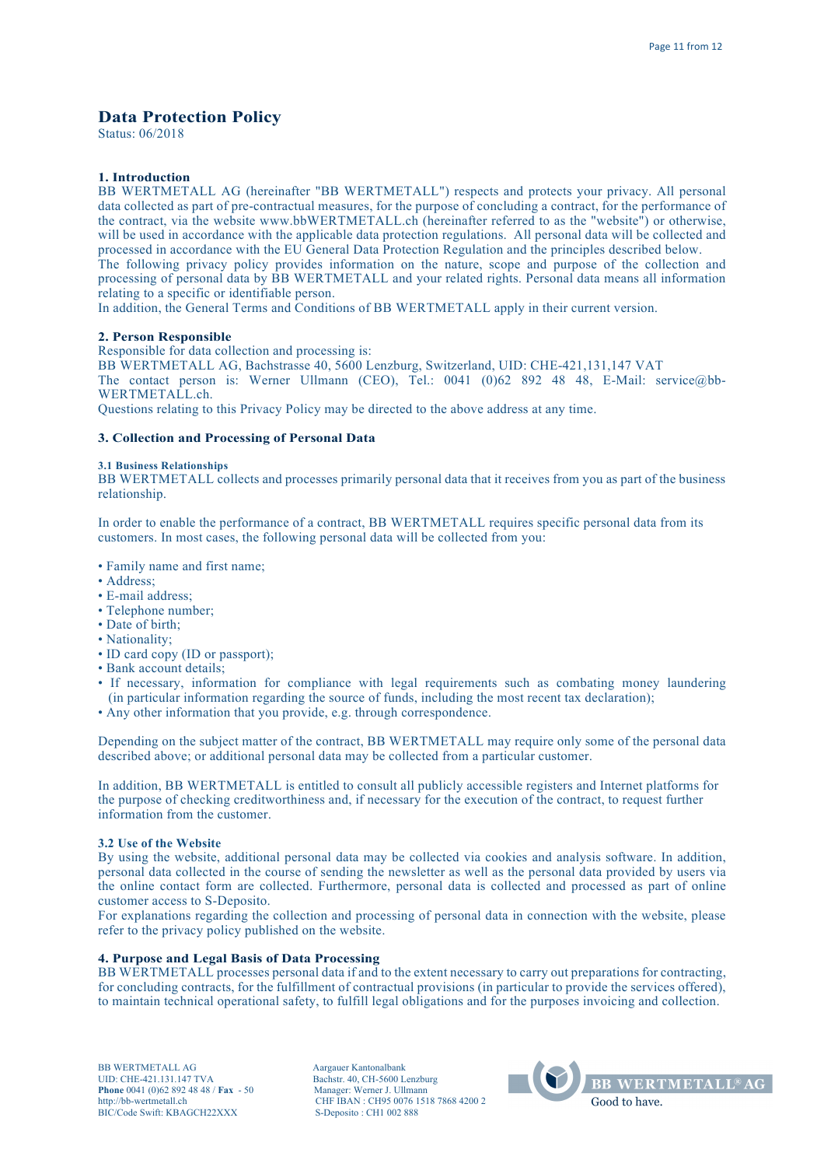# **Data Protection Policy**

Status: 06/2018

# **1. Introduction**

BB WERTMETALL AG (hereinafter "BB WERTMETALL") respects and protects your privacy. All personal data collected as part of pre-contractual measures, for the purpose of concluding a contract, for the performance of the contract, via the website www.bbWERTMETALL.ch (hereinafter referred to as the "website") or otherwise, will be used in accordance with the applicable data protection regulations. All personal data will be collected and processed in accordance with the EU General Data Protection Regulation and the principles described below. The following privacy policy provides information on the nature, scope and purpose of the collection and processing of personal data by BB WERTMETALL and your related rights. Personal data means all information relating to a specific or identifiable person.

In addition, the General Terms and Conditions of BB WERTMETALL apply in their current version.

# **2. Person Responsible**

Responsible for data collection and processing is:

BB WERTMETALL AG, Bachstrasse 40, 5600 Lenzburg, Switzerland, UID: CHE-421,131,147 VAT The contact person is: Werner Ullmann (CEO), Tel.: 0041 (0)62 892 48 48, E-Mail: service@bb-WERTMETALL.ch.

Questions relating to this Privacy Policy may be directed to the above address at any time.

#### **3. Collection and Processing of Personal Data**

#### **3.1 Business Relationships**

BB WERTMETALL collects and processes primarily personal data that it receives from you as part of the business relationship.

In order to enable the performance of a contract, BB WERTMETALL requires specific personal data from its customers. In most cases, the following personal data will be collected from you:

- Family name and first name;
- Address;
- E-mail address;
- Telephone number;
- Date of birth;
- Nationality;
- ID card copy (ID or passport);
- Bank account details;
- If necessary, information for compliance with legal requirements such as combating money laundering (in particular information regarding the source of funds, including the most recent tax declaration);
- Any other information that you provide, e.g. through correspondence.

Depending on the subject matter of the contract, BB WERTMETALL may require only some of the personal data described above; or additional personal data may be collected from a particular customer.

In addition, BB WERTMETALL is entitled to consult all publicly accessible registers and Internet platforms for the purpose of checking creditworthiness and, if necessary for the execution of the contract, to request further information from the customer.

#### **3.2 Use of the Website**

By using the website, additional personal data may be collected via cookies and analysis software. In addition, personal data collected in the course of sending the newsletter as well as the personal data provided by users via the online contact form are collected. Furthermore, personal data is collected and processed as part of online customer access to S-Deposito.

For explanations regarding the collection and processing of personal data in connection with the website, please refer to the privacy policy published on the website.

#### **4. Purpose and Legal Basis of Data Processing**

BB WERTMETALL processes personal data if and to the extent necessary to carry out preparations for contracting, for concluding contracts, for the fulfillment of contractual provisions (in particular to provide the services offered), to maintain technical operational safety, to fulfill legal obligations and for the purposes invoicing and collection.

BB WERTMETALL AG Aargauer Kantonalbank UID: CHE-421.131.147 TVA Bachstr. 40, CH-5600 Lenzburg<br> **Phone** 0041 (0)62 892 48 48 / **Fax** - 50 Manager: Werner J. Ullmann **Phone** 0041 (0)62 892 48 48 / **Fax** - 50 http://bb-wertmetall.ch BIC/Code Swift: KBAGCH22XXX